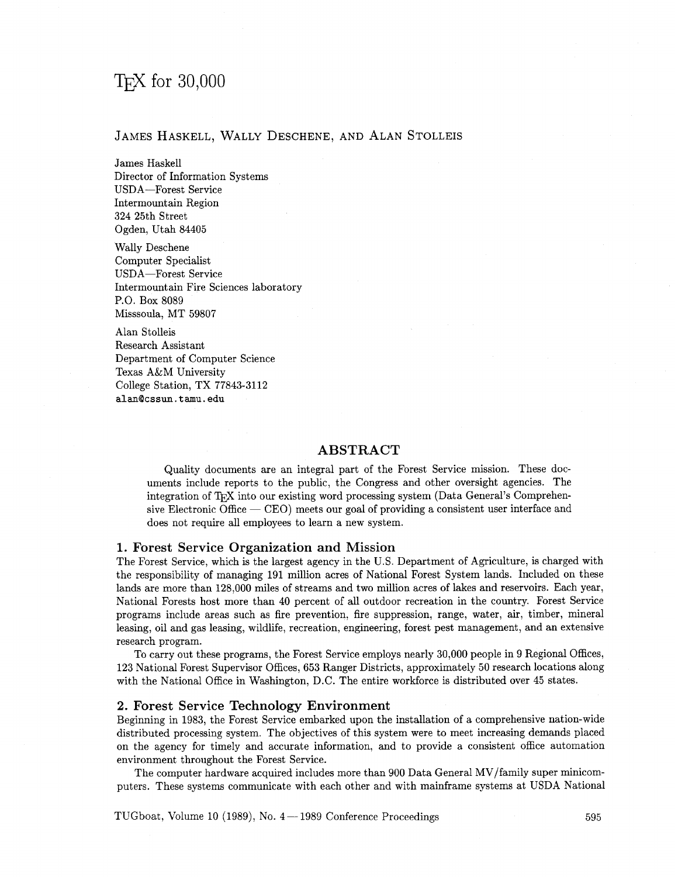# T<sub>F</sub>X for  $30,000$

# JAMES HASKELL, WALLY DESCHENE, AND ALAN STOLLEIS

James Haskell Director of Information Systems USDA-Forest Service Intermountain Region 324 25th Street Ogden, Utah 84405

Wally Deschene Computer Specialist USDA-Forest Service Intermountain Fire Sciences laboratory P.O. Box 8089 Misssoula, MT 59807

Alan Stolleis Research Assistant Department of Computer Science Texas A&M University College Station, TX 77843-3112 **alanQcssun.tamu.edu** 

# **ABSTRACT**

Quality documents are an integral part of the Forest Service mission. These documents include reports to the public, the Congress and other oversight agencies. The integration of T<sub>E</sub>X into our existing word processing system (Data General's Comprehenuments include reports to the public, the Congress and other oversignt agencies. The<br>integration of T<sub>E</sub>X into our existing word processing system (Data General's Comprehen-<br>sive Electronic Office -- CEO) meets our goal of does not require all employees to learn a new system.

## **1. Forest Service Organization and Mission**

The Forest Service, which is the largest agency in the U.S. Department of Agriculture, is charged with the responsibility of managing 191 million acres of National Forest System lands. Included on these lands are more than 128,000 miles of streams and two million acres of lakes and reservoirs. Each year, National Forests host more than 40 percent of all outdoor recreation in the country. Forest Service programs include areas such as fire prevention, fire suppression, range, water, air, timber, mineral leasing, oil and gas leasing, wildlife, recreation, engineering, forest pest management, and an extensive research program.

To carry out these programs, the Forest Service employs nearly 30,000 people in 9 Regional Offices, 123 National Forest Supervisor Offices, 653 Ranger Districts, approximately 50 research locations along with the National Office in Washington, D.C. The entire workforce is distributed over 45 states.

## **2. Forest Service Technology Environment**

Beginning **in** 1983, the Forest Service embarked upon the installation of a comprehensive nation-wide distributed processing system. The objectives of this system were to meet increasing demands placed on the agency for timely and accurate information, and to provide a consistent office automation environment throughout the Forest Service.

The computer hardware acquired includes more than 900 Data General MV/family super minicomputers. These systems communicate with each other and with mainframe systems at USDA National

TUGboat, Volume 10 (1989), No. 4 - 1989 Conference Proceedings 595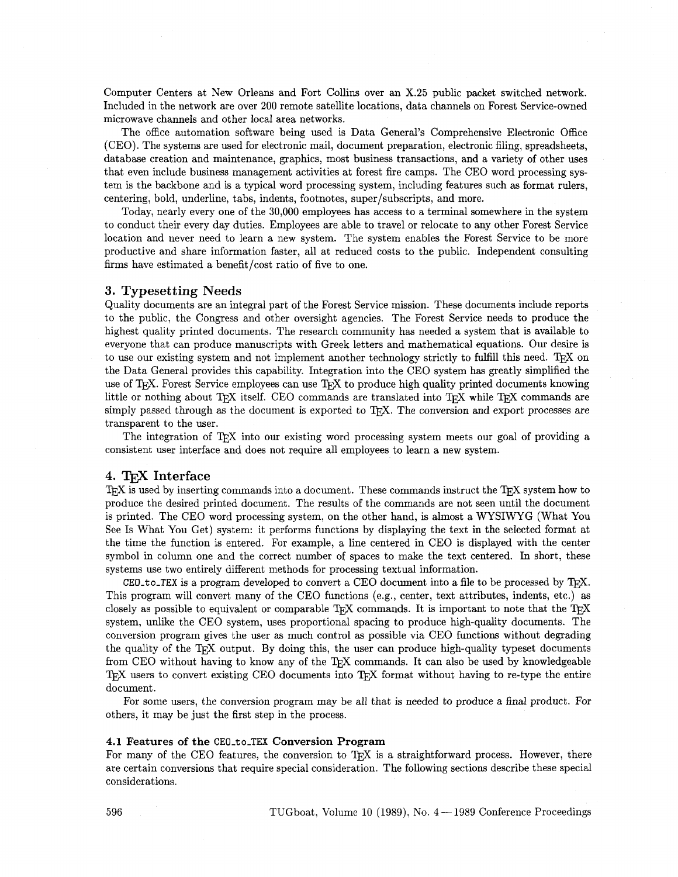Computer Centers at New Orleans and Fort Collins over an **X.25** public packet switched network. Included in the network are over 200 remote satellite locations, data channels on Forest Service-owned microwave channels and other local area networks.

The office automation software being used is Data General's Comprehensive Electronic Office (CEO). The systems are used for electronic mail, document preparation, electronic filing, spreadsheets, database creation and maintenance, graphics, most business transactions, and a variety of other uses that even include business management activities at forest fie camps. The CEO word processing system is the backbone and is a typical word processing system, including features such as format rulers, centering, bold, underline, tabs, indents, footnotes, super/subscripts, and more.

Today, nearly every one of the 30,000 employees has access to a terminal somewhere in the system to conduct their every day duties. Employees are able to travel or relocate to any other Forest Service location and never need to learn a new system. The system enables the Forest Service to be more productive and share information faster, all at reduced costs to the public. Independent consulting firms have estimated a benefit/cost ratio of five to one.

### **3. Typesetting Needs**

Quality documents are an integral part of the Forest Service mission. These documents include reports to the public, the Congress and other oversight agencies. The Forest Service needs to produce the highest quality printed documents. The research community has needed a system that is available to everyone that can produce manuscripts with Greek letters and mathematical equations. Our desire is to use our existing system and not implement another technology strictly to fulfill this need. To X on the Data General provides this capability. Integration into the CEO system has greatly simplified the use of T<sub>E</sub>X. Forest Service employees can use T<sub>E</sub>X to produce high quality printed documents knowing little or nothing about T<sub>E</sub>X itself. CEO commands are translated into T<sub>E</sub>X while T<sub>E</sub>X commands are simply passed through as the document is exported to T<sub>R</sub>X. The conversion and export processes are transparent to the user.

The integration of T<sub>R</sub>X into our existing word processing system meets our goal of providing a consistent user interface and does not require all employees to learn a new system.

## **4. Interface**

T<sub>F</sub>X is used by inserting commands into a document. These commands instruct the T<sub>F</sub>X system how to produce the desired printed document. The results of the commands are not seen until the document is printed. The CEO word processing system, on the other hand, is almost a WYSIWYG (What You See Is What You Get) system: it performs functions by displaying the text in the selected format at the time the function is entered. For example, a line centered in CEO is displayed with the center symbol in column one and the correct number of spaces to make the text centered. In short, these systems use two entirely different methods for processing textual information.

**CEO<sub>-to-TEX</sub>** is a program developed to convert a CEO document into a file to be processed by T<sub>F</sub>X. This program will convert many of the CEO functions (e.g., center, text attributes, indents, etc.) as closely as possible to equivalent or comparable T<sub>F</sub>X commands. It is important to note that the T<sub>F</sub>X system, unlike the CEO system, uses proportional spacing to produce high-quality documents. The conversion program gives the user **as** much control as possible via CEO functions without degrading the quality of the T<sub>R</sub>X output. By doing this, the user can produce high-quality typeset documents from CEO without having to know any of the T<sub>F</sub>X commands. It can also be used by knowledgeable TFX users to convert existing CEO documents into TFX format without having to re-type the entire document.

For some users, the conversion program may be all that is needed to produce *a* final product. For others, it may be just the first step in the process.

#### **4.1 Features of the CEO-to-TEX Conversion Program**

For many of the CEO features, the conversion to TFX is a straightforward process. However, there are certain conversions that require special consideration. The following sections describe these special considerations.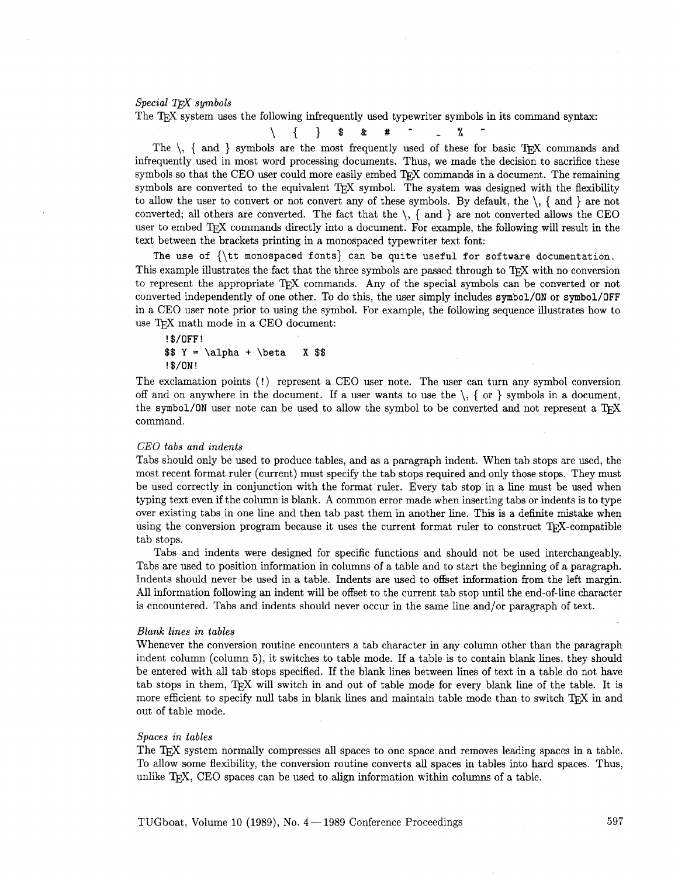## *Special TFX symbols*

The TEX system uses the following infrequently used typewriter symbols in its command syntax:

$$
\setminus \{ \}
$$
 \$ & \$x + ^ - - ^ x - ^

The  $\setminus$ , { and } symbols are the most frequently used of these for basic TEX commands and infrequently used in most word processing documents. Thus, we made the decision to sacrifice these symbols so that the CEO user could more easily embed T<sub>F</sub>X commands in a document. The remaining symbols are converted to the equivalent T<sub>E</sub>X symbol. The system was designed with the flexibility to allow the user to convert or not convert any of these symbols. By default, the  $\setminus$ , { and } are not converted; all others are converted. The fact that the  $\setminus$ , { and } are not converted allows the CEO user to embed TEX commands directly into a document. For example, the following will result in the text between the brackets printing in a monospaced typewriter text font:

**The use of {\tt monospaced fonts)** can **be quite useful for software documentation.**  This example illustrates the fact that the three symbols are passed through to T<sub>F</sub>X with no conversion to represent the appropriate T<sub>R</sub>X commands. Any of the special symbols can be converted or not converted independently of one other. To do this, the user simply includes **symbol/ON** or **symbol/OFF**  in a CEO user note prior to using the symbol. For example, the following sequence illustrates how to use TEX math mode in a CEO document:

```
! $/OFF! 
$$ Y = \alpha + \beta X $$ 
!$/ON!
```
The exclamation points (!) represent a CEO user note. The user can turn any symbol conversion off and on anywhere in the document. If a user wants to use the  $\setminus$ , { or } symbols in a document, the symbol/ON user note can be used to allow the symbol to be converted and not represent a T<sub>E</sub>X command.

#### *CEO tabs and indents*

Tabs should only be used to produce tables, and as a paragraph indent. When tab stops are used, the most recent format ruler (current) must specify the tab stops required and only those stops. They must be used correctly in conjunction with the format ruler. Every tab stop in a line must be used when typing text even if the column is blank. **A** common error made when inserting tabs or indents is to type over existing tabs in one line and then tab past them in another line. This is a definite mistake when using the conversion program because it uses the current format ruler to construct  $T_F X$ -compatible tab stops.

Tabs and indents were designed for specific functions and should not be used interchangeably. Tabs are used to position information in columns of a table and to start the beginning of a paragraph. Indents should never be used in a table. Indents are used to offset information from the left margin. All information following an indent will be offset to the current tab stop until the end-of-line character is encountered. Tabs and indents should never occur in the same line and/or paragraph of text.

#### *Blank lines in tables*

Whenever the conversion routine encounters a tab character in any column other than the paragraph indent column (column **5),** it switches to table mode. If a table is to contain blank lines, they should be entered with all tab stops specified. If the blank lines between lines of text in a table do hot have tab stops in them, T<sub>F</sub>X will switch in and out of table mode for every blank line of the table. It is more efficient to specify null tabs in blank lines and maintain table mode than to switch TEX in and out of table mode.

## *Spaces in tables*

The TEX system normally compresses all spaces to one space and removes leading spaces in a table. To allow some flexibility, the conversion routine converts all spaces in tables into hard spaces. Thus, unlike  $T<sub>F</sub>X$ , CEO spaces can be used to align information within columns of a table.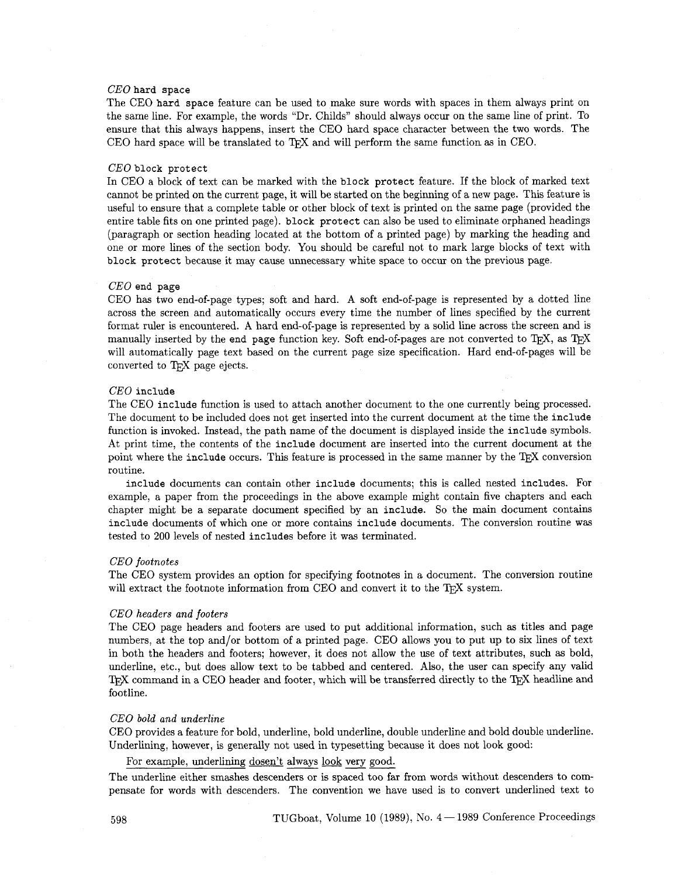## *CEO* **hard space**

The CEO **hard space** feature can be used to make sure words with spaces in them always print on the same line. For example, the words "Dr. Childs" should always occur on the same line of print. To ensure that this always happens, insert the CEO hard space character between the two words. The CEO hard space will be translated to T<sub>F</sub>X and will perform the same function as in CEO.

#### *CEO* **block protect**

In CEO a block of text can be marked with the **block protect** feature. If the block of marked text cannot be printed on the current page, it will be started on the beginning of a new page. This feature is useful to ensure that a complete table or other block of text is printed on the same page (provided the entire table fits on one printed page). **block protect** can also be used to eliminate orphaned headings (paragraph or section heading located at the bottom of a printed page) by marking the heading and one or more lines of the section body. You should be careful not to mark large blocks of text with **block protect** because it may cause unnecessary white space to occur on the previous page.

#### *CEO* **end page**

CEO has two end-of-page types; soft and hard. A soft end-of-page is represented by a dotted line across the screen and automatically occurs every time the number of lines specified by the current format ruler is encountered. A hard end-of-page is represented by a solid line across the screen and is manually inserted by the end page function key. Soft end-of-pages are not converted to T<sub>F</sub>X, as T<sub>E</sub>X will automatically page text based on the current page size specification. Hard end-of-pages will be converted to TEX page ejects.

## *CEO* **include**

The CEO **include** function is used to attach another document to the one currently being processed. The document to be included does not get inserted into the current document at the time the **include**  function is invoked. Instead, the path name of the document is displayed inside the **include** symbols. At print time, the contents of the **include** document are inserted into the current document at the point where the include occurs. This feature is processed in the same manner by the TFX conversion routine.

**include** documents can contain other **include** documents; this is called nested **includes.** For example, a paper from the proceedings in the above example might contain five chapters and each chapter might be a separate document specified by an **include.** So the main document contains **include** documents of which one or more contains **include** documents. The conversion routine was tested to 200 levels of nested **includes** before it was terminated.

#### *CEO footnotes*

The CEO system provides an option for specifying footnotes in a document. The conversion routine will extract the footnote information from CEO and convert it to the T<sub>E</sub>X system.

#### *CEO headers and footers*

The CEO page headers and footers are used to put additional information, such as titles and page numbers, at the top and/or bottom of a printed page. CEO allows you to put up to six lines of text in both the headers and footers; however, it does not allow the use of text attributes, such as bold, underline, etc., but does allow text to be tabbed and centered. Also, the user can specify any valid TEX command in a CEO header and footer, which will be transferred directly to the TEX headline and footline.

#### *CEO bold and underline*

CEO provides a feature for bold, underline, bold underline, double underline and bold double underline. Underlining, however, is generally not used in typesetting because it does not look good:

For example, underlining dosen't always look very good.

The underline either smashes descenders or is spaced too far from words without descenders to compensate for words with descenders. The convention we have used is to convert underlined text to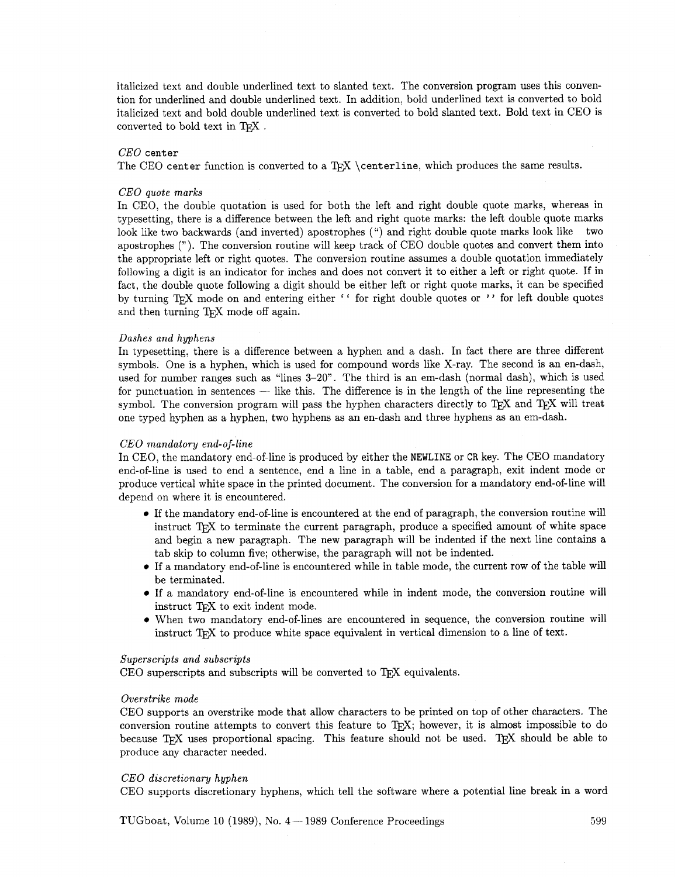italicized text and double underlined text to slanted text. The conversion program uses this convention for underlined and double underlined text. In addition, bold underlined text is converted to bold italicized text and bold double underlined text is converted to bold slanted text. Bold text in CEO is converted to bold text in TFX.

## *CEO* center

The CEO center function is converted to a T<sub>F</sub>X \centerline, which produces the same results.

#### *CEO quote marks*

In CEO, the double quotation is used for both the left and right double quote marks, whereas in typesetting, there is a difference between the left and right quote marks: the left double quote marks look like two backwards (and inverted) apostrophes (") and right double quote marks look like two apostrophes ("). The conversion routine will keep track of CEO double quotes and convert them into the appropriate left or right quotes. The conversion routine assumes a double quotation immediately following a digit is an indicator for inches and does not convert it to either a left or right quote. If in fact, the double quote following a digit should be either left or right quote marks, it can be specified by turning T<sub>F</sub>X mode on and entering either '' for right double quotes or '' for left double quotes and then turning TFX mode off again.

#### *Dashes and hyphens*

In typesetting, there is a difference between a hyphen and a dash. In fact there are three different symbols. One is a hyphen, which is used for compound words like X-ray. The second is an en-dash, used for number ranges such as "lines **3-20".** The third is an em-dash (normal dash), which is used for punctuation in sentences  $-$  like this. The difference is in the length of the line representing the symbol. The conversion program will pass the hyphen characters directly to TEX and TEX will treat one typed hyphen as a hyphen, two hyphens as an en-dash and three hyphens as an em-dash.

#### *CEO mandatory end-of-line*

In CEO, the mandatory end-of-line is produced by either the **NEWLINE** or CR key. The CEO mandatory end-of-line is used to end a sentence, end a line in a table, end a paragraph, exit indent mode or produce vertical white space in the printed document. The conversion for a mandatory end-of-line will depend on where it is encountered.

- If the mandatory end-of-line is encountered at the end of paragraph, the conversion routine will instruct T<sub>RX</sub> to terminate the current paragraph, produce a specified amount of white space and begin a new paragraph. The new paragraph will be indented if the next line contains a tab skip to column five; otherwise, the paragraph will not be indented.
- If a mandatory end-of-line is encountered while in table mode, the current row of the table will be terminated.
- If a mandatory end-of-line is encountered while in indent mode, the conversion routine will instruct TFX to exit indent mode.
- When two mandatory end-of-lines are encountered in sequence, the conversion routine will instruct T<sub>F</sub>X to produce white space equivalent in vertical dimension to a line of text.

## *Superscripts and subscripts*

 $CEO$  superscripts and subscripts will be converted to  $TrX$  equivalents.

#### *Overstrike mode*

CEO supports an overstrike mode that allow characters to be printed on top of other characters. The conversion routine attempts to convert this feature to T<sub>E</sub>X; however, it is almost impossible to do because TFX uses proportional spacing. This feature should not be used. TFX should be able to produce any character needed.

#### *CEO discretionary hyphen*

CEO supports discretionary hyphens, which tell the software where a potential line break in a word

TUGboat, Volume 10 (1989), No.  $4-1989$  Conference Proceedings  $599$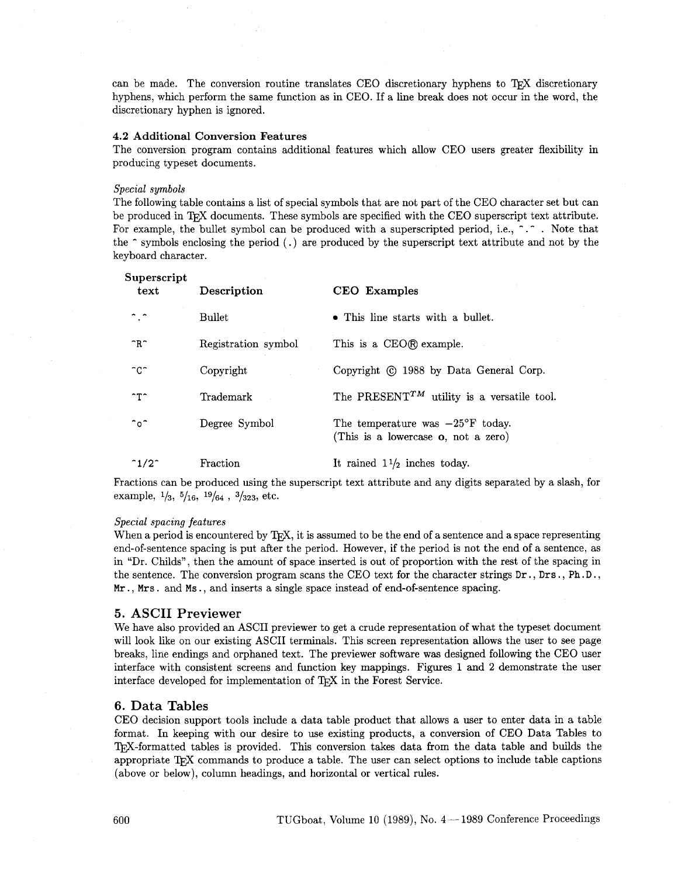can be made. The conversion routine translates CEO discretionary hyphens to T<sub>F</sub>X discretionary hyphens, which perform the same function as in CEO. If a line break does not occur in the word, the discretionary hyphen is ignored.

### 4.2 Additional Conversion Features

The conversion program contains additional features which allow CEO users greater flexibility in producing typeset documents.

## *Special symbols*

The following table contains a list of special symbols that are not part of the CEO character set but can be produced in T<sub>F</sub>X documents. These symbols are specified with the CEO superscript text attribute. For example, the bullet symbol can be produced with a superscripted period, i.e.,  $\hat{\cdot}$ . Note that the  $\hat{\ }$  symbols enclosing the period (.) are produced by the superscript text attribute and not by the keyboard character.

| Superscript<br>text   | Description         | <b>CEO</b> Examples                                                                       |
|-----------------------|---------------------|-------------------------------------------------------------------------------------------|
| ົ.ົ                   | Bullet              | • This line starts with a bullet.                                                         |
| nR                    | Registration symbol | This is a CEO® example.                                                                   |
| ndr                   | Copyright           | Copyright (c) 1988 by Data General Corp.                                                  |
| ^Τ^                   | Trademark           | The PRESENT <sup>TM</sup> utility is a versatile tool.                                    |
| ົoົ                   | Degree Symbol       | The temperature was $-25^{\circ}$ F today.<br>(This is a lowercase <b>o</b> , not a zero) |
| $^{\circ}1/2^{\circ}$ | Fraction            | It rained $1\frac{1}{2}$ inches today.                                                    |

Fractions can be produced using the superscript text attribute and any digits separated by a slash, for example,  $\frac{1}{3}$ ,  $\frac{5}{16}$ ,  $\frac{19}{64}$ ,  $\frac{3}{323}$ , etc.

#### *Special spacing features*

When a period is encountered by  $T_{\rm F}X$ , it is assumed to be the end of a sentence and a space representing end-of-sentence spacing is put after the period. However, if the period is not the end of a sentence, as in "Dr. Childs", then the amount of space inserted is out of proportion with the rest of the spacing in the sentence. The conversion program scans the CEO text for the character strings Dr., Drs., Ph.D., Mr., Mrs . and Ms., and inserts a single space instead of end-of-sentence spacing.

## **5. ASCII Previewer**

We have also provided an ASCII previewer to get a crude representation of what the typeset document will look like on our existing ASCII terminals. This screen representation allows the user to see page breaks, line endings and orphaned text. The previewer software was designed following the CEO user interface with consistent screens and function key mappings. Figures **1** and 2 demonstrate the user interface developed for implementation of T<sub>F</sub>X in the Forest Service.

## **6. Data Tables**

CEO decision support tools include a data table product that allows a user to enter data in a table format. In keeping with our desire to use existing products, a conversion of CEO Data Tables to T<sub>R</sub>X-formatted tables is provided. This conversion takes data from the data table and builds the appropriate  $T_{\rm F}X$  commands to produce a table. The user can select options to include table captions (above or below), column headings, and horizontal or vertical rules.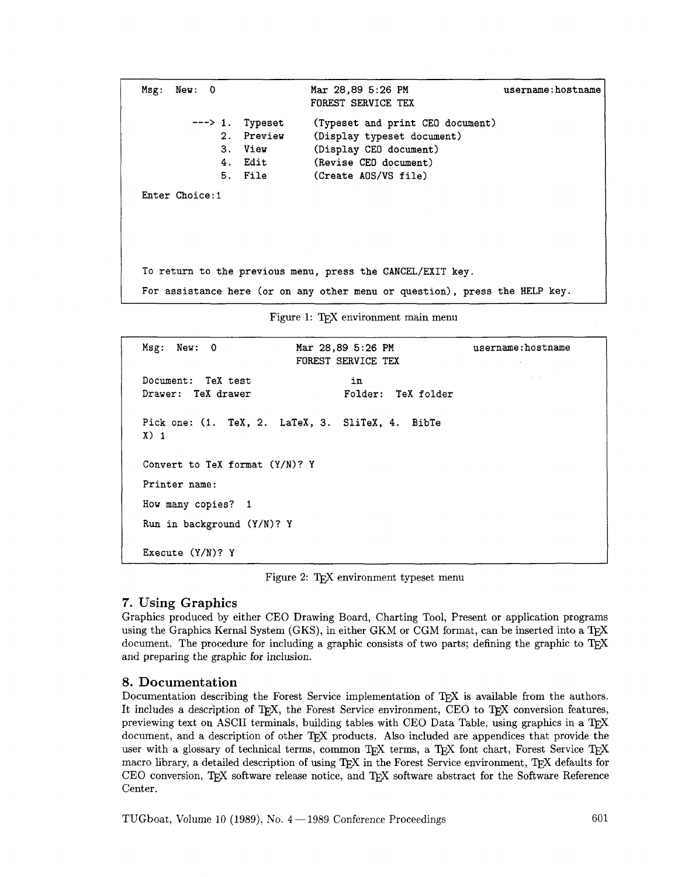Msg: New: 0 Mar 28,89 5:26 PM username : hostname FOREST SERVICE TEX ---> 1. Typeset (Typeset and print CEO document) 2. Preview (Display typeset document) 3. View (Display CEO document) 4. Edit (Revise CEO document) 5. File (Create AOS/VS file) Enter Choice:l TO return to the previous menu, press the CANCEL/EXIT key. For assistance here (or on any other menu or question), press the HELP key. Figure 1: TEX environment main menu Msg: New: 0 Mar 28,89 5:26 PM username: hostname

Document: TeX test Drawer: TeX drawer FOREST SERVICE TEX in Folder: TeX folder Pick one: (1. TeX, 2. LaTeX, 3. SliTeX, 4. BibTe  $X$ ) 1 Convert to TeX format (Y/N)? Y Printer name: How many copies? 1 Run in background (Y/N)? Y Execute (Y/N)? Y

Figure 2: TEX environment typeset menu

# **7. Using Graphics**

Graphics produced by either CEO Drawing Board, Charting Tool, Present or application programs using the Graphics Kernal System (GKS), in either GKM or CGM format, can be inserted into a TFX document. The procedure for including a graphic consists of two parts; defining the graphic to TEX and preparing the graphic for inclusion.

# **8. Documentation**

Documentation describing the Forest Service implementation of TFX is available from the authors. It includes a description of T<sub>F</sub>X, the Forest Service environment, CEO to T<sub>F</sub>X conversion features, previewing text on ASCII terminals, building tables with CEO Data Table, using graphics in a T<sub>F</sub>X document, and a description of other T<sub>E</sub>X products. Also included are appendices that provide the user with a glossary of technical terms, common TEX terms, a TEX font chart, Forest Service TEX macro library, a detailed description of using TEX in the Forest Service environment, TEX defaults for CEO conversion, TFX software release notice, and TFX software abstract for the Software Reference Center.

 $TUGboat$ , Volume 10 (1989), No.  $4-1989$  Conference Proceedings 601